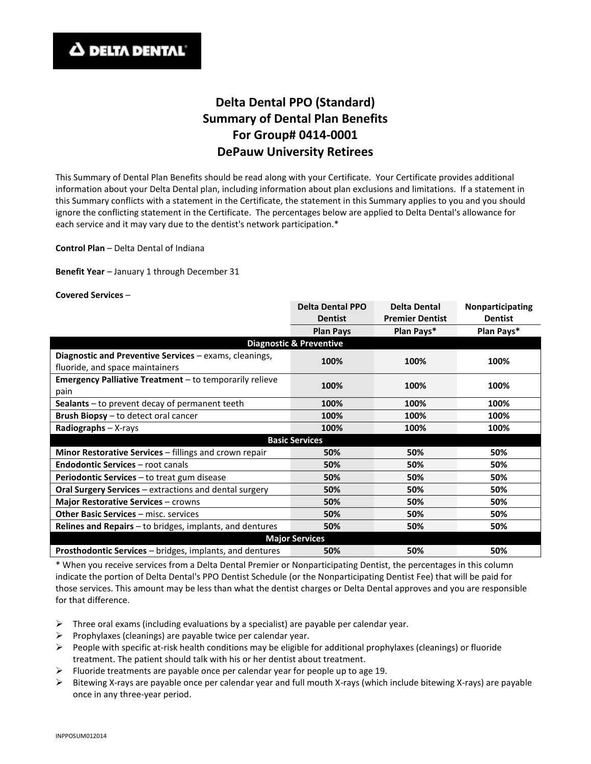## **Delta Dental PPO (Standard) Summary of Dental Plan Benefits For Group# 0414-0001 DePauw University Retirees**

This Summary of Dental Plan Benefits should be read along with your Certificate. Your Certificate provides additional information about your Delta Dental plan, including information about plan exclusions and limitations. If a statement in this Summary conflicts with a statement in the Certificate, the statement in this Summary applies to you and you should ignore the conflicting statement in the Certificate. The percentages below are applied to Delta Dental's allowance for each service and it may vary due to the dentist's network participation.\*

**Control Plan** – Delta Dental of Indiana

**Benefit Year** – January 1 through December 31

**Covered Services** –

|                                                                 | <b>Delta Dental PPO</b> | <b>Delta Dental</b>    | Nonparticipating |
|-----------------------------------------------------------------|-------------------------|------------------------|------------------|
|                                                                 | <b>Dentist</b>          | <b>Premier Dentist</b> | <b>Dentist</b>   |
|                                                                 | <b>Plan Pays</b>        | Plan Pays*             | Plan Pays*       |
| <b>Diagnostic &amp; Preventive</b>                              |                         |                        |                  |
| Diagnostic and Preventive Services - exams, cleanings,          |                         |                        |                  |
| fluoride, and space maintainers                                 | 100%                    | 100%                   | 100%             |
| <b>Emergency Palliative Treatment</b> – to temporarily relieve  | 100%                    | 100%                   | 100%             |
| pain                                                            |                         |                        |                  |
| <b>Sealants</b> $-$ to prevent decay of permanent teeth         | 100%                    | 100%                   | 100%             |
| <b>Brush Biopsy</b> – to detect oral cancer                     | 100%                    | 100%                   | 100%             |
| Radiographs $- X$ -rays                                         | 100%                    | 100%                   | 100%             |
| <b>Basic Services</b>                                           |                         |                        |                  |
| Minor Restorative Services - fillings and crown repair          | 50%                     | 50%                    | 50%              |
| <b>Endodontic Services - root canals</b>                        | 50%                     | 50%                    | 50%              |
| <b>Periodontic Services</b> – to treat gum disease              | 50%                     | 50%                    | 50%              |
| Oral Surgery Services - extractions and dental surgery          | 50%                     | 50%                    | 50%              |
| Major Restorative Services - crowns                             | 50%                     | 50%                    | 50%              |
| Other Basic Services - misc. services                           | 50%                     | 50%                    | 50%              |
| <b>Relines and Repairs</b> – to bridges, implants, and dentures | 50%                     | 50%                    | 50%              |
| <b>Major Services</b>                                           |                         |                        |                  |
| <b>Prosthodontic Services</b> – bridges, implants, and dentures | 50%                     | 50%                    | 50%              |

\* When you receive services from a Delta Dental Premier or Nonparticipating Dentist, the percentages in this column indicate the portion of Delta Dental's PPO Dentist Schedule (or the Nonparticipating Dentist Fee) that will be paid for those services. This amount may be less than what the dentist charges or Delta Dental approves and you are responsible for that difference.

- $\triangleright$  Three oral exams (including evaluations by a specialist) are payable per calendar year.
- $\triangleright$  Prophylaxes (cleanings) are payable twice per calendar year.
- People with specific at-risk health conditions may be eligible for additional prophylaxes (cleanings) or fluoride treatment. The patient should talk with his or her dentist about treatment.
- Fluoride treatments are payable once per calendar year for people up to age 19.
- $\triangleright$  Bitewing X-rays are payable once per calendar year and full mouth X-rays (which include bitewing X-rays) are payable once in any three-year period.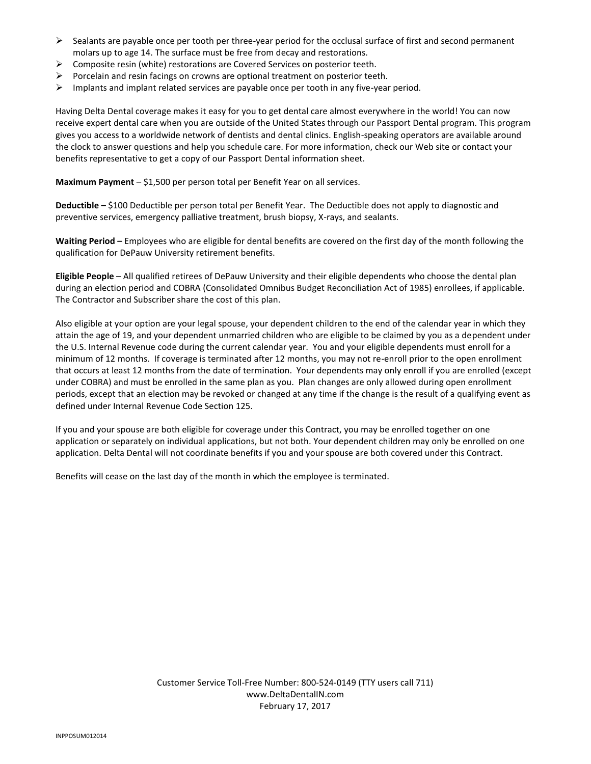- $\triangleright$  Sealants are payable once per tooth per three-year period for the occlusal surface of first and second permanent molars up to age 14. The surface must be free from decay and restorations.
- $\triangleright$  Composite resin (white) restorations are Covered Services on posterior teeth.
- $\triangleright$  Porcelain and resin facings on crowns are optional treatment on posterior teeth.
- $\triangleright$  Implants and implant related services are payable once per tooth in any five-year period.

Having Delta Dental coverage makes it easy for you to get dental care almost everywhere in the world! You can now receive expert dental care when you are outside of the United States through our Passport Dental program. This program gives you access to a worldwide network of dentists and dental clinics. English-speaking operators are available around the clock to answer questions and help you schedule care. For more information, check our Web site or contact your benefits representative to get a copy of our Passport Dental information sheet.

**Maximum Payment** – \$1,500 per person total per Benefit Year on all services.

**Deductible –** \$100 Deductible per person total per Benefit Year. The Deductible does not apply to diagnostic and preventive services, emergency palliative treatment, brush biopsy, X-rays, and sealants.

**Waiting Period –** Employees who are eligible for dental benefits are covered on the first day of the month following the qualification for DePauw University retirement benefits.

**Eligible People** – All qualified retirees of DePauw University and their eligible dependents who choose the dental plan during an election period and COBRA (Consolidated Omnibus Budget Reconciliation Act of 1985) enrollees, if applicable. The Contractor and Subscriber share the cost of this plan.

Also eligible at your option are your legal spouse, your dependent children to the end of the calendar year in which they attain the age of 19, and your dependent unmarried children who are eligible to be claimed by you as a dependent under the U.S. Internal Revenue code during the current calendar year. You and your eligible dependents must enroll for a minimum of 12 months. If coverage is terminated after 12 months, you may not re-enroll prior to the open enrollment that occurs at least 12 months from the date of termination. Your dependents may only enroll if you are enrolled (except under COBRA) and must be enrolled in the same plan as you. Plan changes are only allowed during open enrollment periods, except that an election may be revoked or changed at any time if the change is the result of a qualifying event as defined under Internal Revenue Code Section 125.

If you and your spouse are both eligible for coverage under this Contract, you may be enrolled together on one application or separately on individual applications, but not both. Your dependent children may only be enrolled on one application. Delta Dental will not coordinate benefits if you and your spouse are both covered under this Contract.

Benefits will cease on the last day of the month in which the employee is terminated.

Customer Service Toll-Free Number: 800-524-0149 (TTY users call 711) www.DeltaDentalIN.com February 17, 2017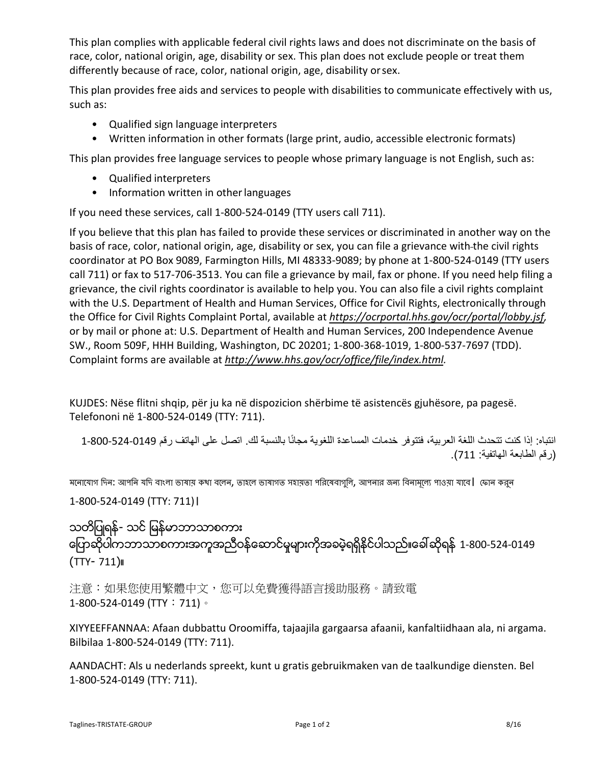This plan complies with applicable federal civil rights laws and does not discriminate on the basis of race, color, national origin, age, disability or sex. This plan does not exclude people or treat them differently because of race, color, national origin, age, disability or sex.

This plan provides free aids and services to people with disabilities to communicate effectively with us, such as:

- Qualified sign language interpreters
- Written information in other formats (large print, audio, accessible electronic formats)

This plan provides free language services to people whose primary language is not English, such as:

- Qualified interpreters
- Information written in other languages

If you need these services, call 1-800-524-0149 (TTY users call 711).

If you believe that this plan has failed to provide these services or discriminated in another way on the basis of race, color, national origin, age, disability or sex, you can file a grievance with-the civil rights coordinator at PO Box 9089, Farmington Hills, MI 48333-9089; by phone at 1-800-524-0149 (TTY users call 711) or fax to 517-706-3513. You can file a grievance by mail, fax or phone. If you need help filing a grievance, the civil rights coordinator is available to help you. You can also file a civil rights complaint with the U.S. Department of Health and Human Services, Office for Civil Rights, electronically through the Office for Civil Rights Complaint Portal, available at *https://ocrportal.hhs.gov/ocr/portal/lobby.jsf,* or by mail or phone at: U.S. Department of Health and Human Services, 200 Independence Avenue SW., Room 509F, HHH Building, Washington, DC 20201; 1-800-368-1019, 1-800-537-7697 (TDD). Complaint forms are available at http://www.hhs.gov/ocr/office/file/index.html.

KUJDES: Nëse flitni shqip, për ju ka në dispozicion shërbime të asistencës gjuhësore, pa pagesë. Telefononi në 1-800-524-0149 (TTY: 711).

انتباه: إذا كنت تتحدث اللغة العربية، فتتوفر خدمات المساعدة اللغوية مجانًا بالنسبة لك. اتصل على الهاتف رقم 0149-524-800-1 (رقم الطابعة الھاتفیة: 711).

মনােযােগ দিন: আপনি যদি বাংলা ভাষায় কথা বলেন, তাহলে ভাষাগত সহায়তা পরিষেবাগুলি, আপনার জন্য বিনামূল্যে পাওয়া যাবে। ফোন করুন

1-800-524-0149 (TTY: 711)।

သတိျပဳရန္- သင္ျမန္မာဘာသာစကား ကြောဆိုပါကဘာသာစကားအကူအညီဝန်ဆောင်မှုများကိုအခမဲ့ရရှိနိုင်ပါသည်။ခေါ် ဆိုရန် 1-800-524-0149 (TTY- 711)။

注意:如果您使用繁體中文,您可以免費獲得語言援助服務。請致電 1-800-524-0149 (TTY: 711)。

XIYYEEFFANNAA: Afaan dubbattu Oroomiffa, tajaajila gargaarsa afaanii, kanfaltiidhaan ala, ni argama. Bilbilaa 1-800-524-0149 (TTY: 711).

AANDACHT: Als u nederlands spreekt, kunt u gratis gebruikmaken van de taalkundige diensten. Bel 1-800-524-0149 (TTY: 711).